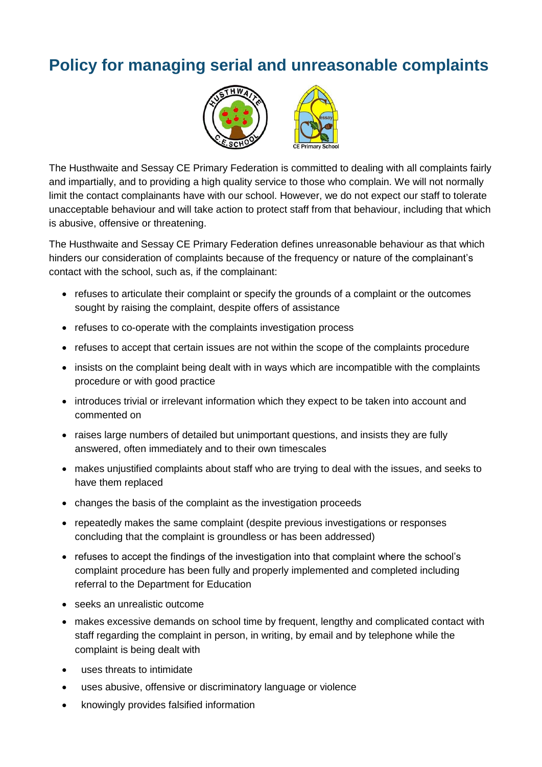## **Policy for managing serial and unreasonable complaints**



The Husthwaite and Sessay CE Primary Federation is committed to dealing with all complaints fairly and impartially, and to providing a high quality service to those who complain. We will not normally limit the contact complainants have with our school. However, we do not expect our staff to tolerate unacceptable behaviour and will take action to protect staff from that behaviour, including that which is abusive, offensive or threatening.

The Husthwaite and Sessay CE Primary Federation defines unreasonable behaviour as that which hinders our consideration of complaints because of the frequency or nature of the complainant's contact with the school, such as, if the complainant:

- refuses to articulate their complaint or specify the grounds of a complaint or the outcomes sought by raising the complaint, despite offers of assistance
- refuses to co-operate with the complaints investigation process
- refuses to accept that certain issues are not within the scope of the complaints procedure
- insists on the complaint being dealt with in ways which are incompatible with the complaints procedure or with good practice
- introduces trivial or irrelevant information which they expect to be taken into account and commented on
- raises large numbers of detailed but unimportant questions, and insists they are fully answered, often immediately and to their own timescales
- makes unjustified complaints about staff who are trying to deal with the issues, and seeks to have them replaced
- changes the basis of the complaint as the investigation proceeds
- repeatedly makes the same complaint (despite previous investigations or responses concluding that the complaint is groundless or has been addressed)
- refuses to accept the findings of the investigation into that complaint where the school's complaint procedure has been fully and properly implemented and completed including referral to the Department for Education
- seeks an unrealistic outcome
- makes excessive demands on school time by frequent, lengthy and complicated contact with staff regarding the complaint in person, in writing, by email and by telephone while the complaint is being dealt with
- uses threats to intimidate
- uses abusive, offensive or discriminatory language or violence
- knowingly provides falsified information